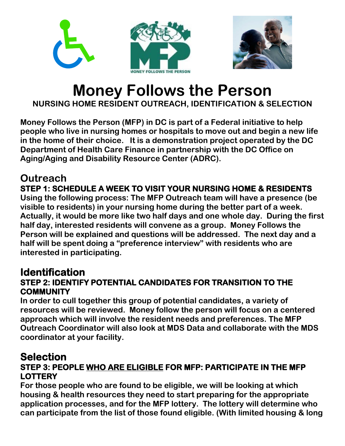

# **Money Follows the Person**

**NURSING HOME RESIDENT OUTREACH, IDENTIFICATION & SELECTION** 

**Money Follows the Person (MFP) in DC is part of a Federal initiative to help people who live in nursing homes or hospitals to move out and begin a new life in the home of their choice. It is a demonstration project operated by the DC Department of Health Care Finance in partnership with the DC Office on Aging/Aging and Disability Resource Center (ADRC).** 

### **Outreach**

### **STEP 1: SCHEDULE A WEEK TO VISIT YOUR NURSING HOME & RESIDENTS**

**Using the following process: The MFP Outreach team will have a presence (be visible to residents) in your nursing home during the better part of a week. Actually, it would be more like two half days and one whole day. During the first half day, interested residents will convene as a group. Money Follows the Person will be explained and questions will be addressed. The next day and a half will be spent doing a "preference interview" with residents who are interested in participating.**

## **Identification<br>STEP 2: IDENTIFY POTENTIAL CANDIDATES FOR TRANSITION TO THE COMMUNITY**

**In order to cull together this group of potential candidates, a variety of resources will be reviewed. Money follow the person will focus on a centered approach which will involve the resident needs and preferences. The MFP Outreach Coordinator will also look at MDS Data and collaborate with the MDS coordinator at your facility.**

### **Selection<br>STEP 3: PEOPLE WHO ARE ELIGIBLE FOR MFP: PARTICIPATE IN THE MFP LOTTERY**

**For those people who are found to be eligible, we will be looking at which housing & health resources they need to start preparing for the appropriate application processes, and for the MFP lottery. The lottery will determine who can participate from the list of those found eligible. (With limited housing & long**